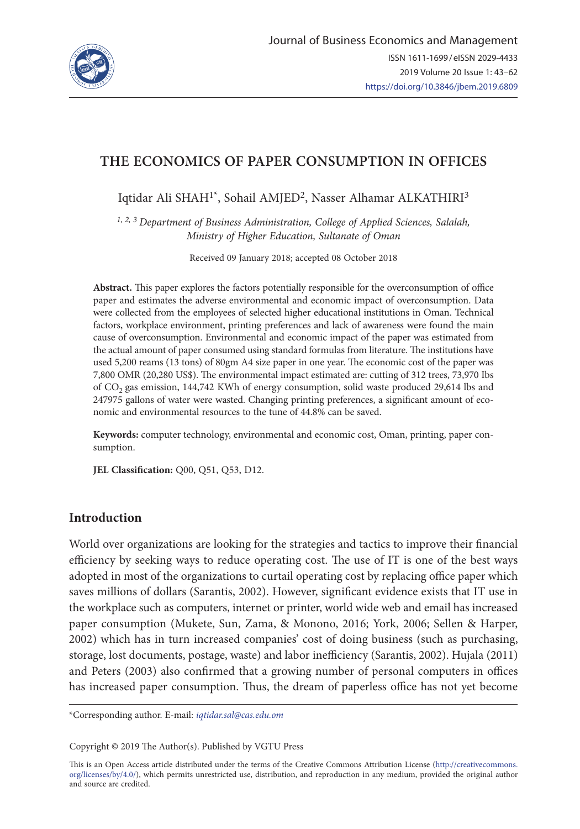

# **THE ECONOMICS OF PAPER CONSUMPTION IN OFFICES**

Iqtidar Ali SHAH<sup>1\*</sup>, Sohail AMJED<sup>2</sup>, Nasser Alhamar ALKATHIRI<sup>3</sup>

*1, 2, 3 Department of Business Administration, College of Applied Sciences, Salalah, Ministry of Higher Education, Sultanate of Oman*

Received 09 January 2018; accepted 08 October 2018

**Abstract.** This paper explores the factors potentially responsible for the overconsumption of office paper and estimates the adverse environmental and economic impact of overconsumption. Data were collected from the employees of selected higher educational institutions in Oman. Technical factors, workplace environment, printing preferences and lack of awareness were found the main cause of overconsumption. Environmental and economic impact of the paper was estimated from the actual amount of paper consumed using standard formulas from literature. The institutions have used 5,200 reams (13 tons) of 80gm A4 size paper in one year. The economic cost of the paper was 7,800 OMR (20,280 US\$). The environmental impact estimated are: cutting of 312 trees, 73,970 Ibs of CO<sub>2</sub> gas emission, 144,742 KWh of energy consumption, solid waste produced 29,614 lbs and 247975 gallons of water were wasted. Changing printing preferences, a significant amount of economic and environmental resources to the tune of 44.8% can be saved.

**Keywords:** computer technology, environmental and economic cost, Oman, printing, paper consumption.

**JEL Classification:** Q00, Q51, Q53, D12.

# **Introduction**

World over organizations are looking for the strategies and tactics to improve their financial efficiency by seeking ways to reduce operating cost. The use of IT is one of the best ways adopted in most of the organizations to curtail operating cost by replacing office paper which saves millions of dollars (Sarantis, 2002). However, significant evidence exists that IT use in the workplace such as computers, internet or printer, world wide web and email has increased paper consumption (Mukete, Sun, Zama, & Monono, 2016; York, 2006; Sellen & Harper, 2002) which has in turn increased companies' cost of doing business (such as purchasing, storage, lost documents, postage, waste) and labor inefficiency (Sarantis, 2002). Hujala (2011) and Peters (2003) also confirmed that a growing number of personal computers in offices has increased paper consumption. Thus, the dream of paperless office has not yet become

\*Corresponding author. E-mail: *iqtidar.sal@cas.edu.om*

Copyright © 2019 The Author(s). Published by VGTU Press

This is an Open Access article distributed under the terms of the Creative Commons Attribution License ([http://creativecommons.](http://dx.doi.org/10.1016/S0377-2217(03)00091-2) [org/licenses/by/4.0/\)](http://dx.doi.org/10.1016/S0377-2217(03)00091-2), which permits unrestricted use, distribution, and reproduction in any medium, provided the original author and source are credited.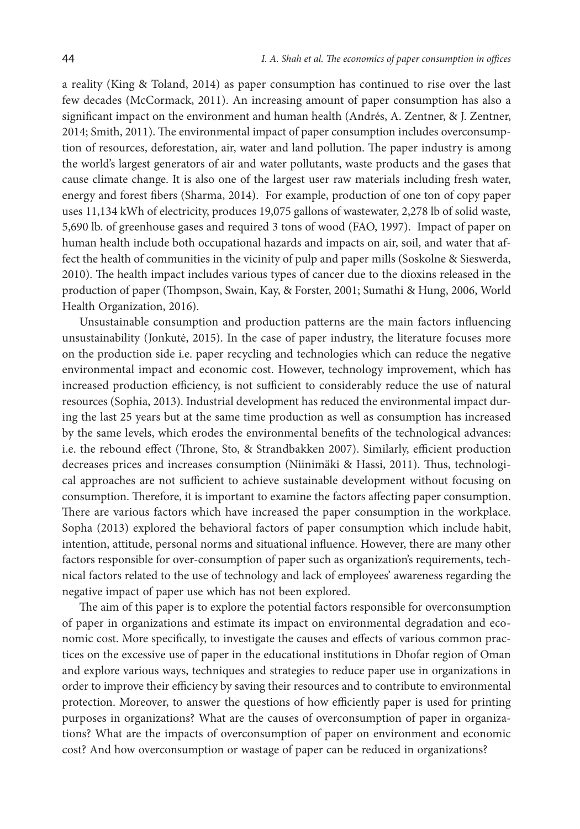a reality (King & Toland, 2014) as paper consumption has continued to rise over the last few decades (McCormack, 2011). An increasing amount of paper consumption has also a significant impact on the environment and human health (Andrés, A. Zentner, & J. Zentner, 2014; Smith, 2011). The environmental impact of paper consumption includes overconsumption of resources, deforestation, air, water and land pollution. The paper industry is among the world's largest generators of air and water pollutants, waste products and the gases that cause climate change. It is also one of the largest user raw materials including fresh water, energy and forest fibers (Sharma, 2014). For example, production of one ton of copy paper uses 11,134 kWh of electricity, produces 19,075 gallons of wastewater, 2,278 lb of solid waste, 5,690 lb. of greenhouse gases and required 3 tons of wood (FAO, 1997). Impact of paper on human health include both occupational hazards and impacts on air, soil, and water that affect the health of communities in the vicinity of pulp and paper mills (Soskolne & Sieswerda, 2010). The health impact includes various types of cancer due to the dioxins released in the production of paper (Thompson, Swain, Kay, & Forster, 2001; Sumathi & Hung, 2006, World Health Organization, 2016).

Unsustainable consumption and production patterns are the main factors influencing unsustainability (Jonkutė, 2015). In the case of paper industry, the literature focuses more on the production side i.e. paper recycling and technologies which can reduce the negative environmental impact and economic cost. However, technology improvement, which has increased production efficiency, is not sufficient to considerably reduce the use of natural resources (Sophia, 2013). Industrial development has reduced the environmental impact during the last 25 years but at the same time production as well as consumption has increased by the same levels, which erodes the environmental benefits of the technological advances: i.e. the rebound effect (Throne, Sto, & Strandbakken 2007). Similarly, efficient production decreases prices and increases consumption (Niinimäki & Hassi, 2011). Thus, technological approaches are not sufficient to achieve sustainable development without focusing on consumption. Therefore, it is important to examine the factors affecting paper consumption. There are various factors which have increased the paper consumption in the workplace. Sopha (2013) explored the behavioral factors of paper consumption which include habit, intention, attitude, personal norms and situational influence. However, there are many other factors responsible for over-consumption of paper such as organization's requirements, technical factors related to the use of technology and lack of employees' awareness regarding the negative impact of paper use which has not been explored.

The aim of this paper is to explore the potential factors responsible for overconsumption of paper in organizations and estimate its impact on environmental degradation and economic cost. More specifically, to investigate the causes and effects of various common practices on the excessive use of paper in the educational institutions in Dhofar region of Oman and explore various ways, techniques and strategies to reduce paper use in organizations in order to improve their efficiency by saving their resources and to contribute to environmental protection. Moreover, to answer the questions of how efficiently paper is used for printing purposes in organizations? What are the causes of overconsumption of paper in organizations? What are the impacts of overconsumption of paper on environment and economic cost? And how overconsumption or wastage of paper can be reduced in organizations?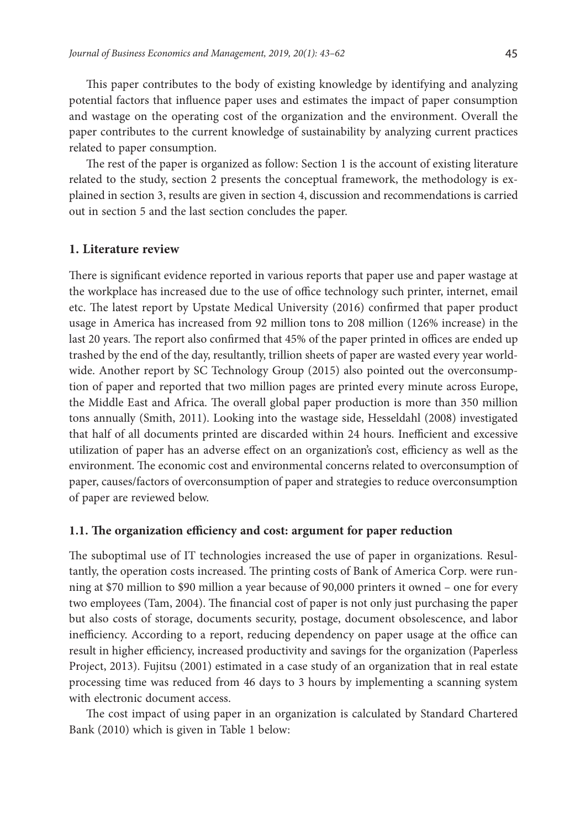This paper contributes to the body of existing knowledge by identifying and analyzing potential factors that influence paper uses and estimates the impact of paper consumption and wastage on the operating cost of the organization and the environment. Overall the paper contributes to the current knowledge of sustainability by analyzing current practices related to paper consumption.

The rest of the paper is organized as follow: Section 1 is the account of existing literature related to the study, section 2 presents the conceptual framework, the methodology is explained in section 3, results are given in section 4, discussion and recommendations is carried out in section 5 and the last section concludes the paper.

### **1. Literature review**

There is significant evidence reported in various reports that paper use and paper wastage at the workplace has increased due to the use of office technology such printer, internet, email etc. The latest report by Upstate Medical University (2016) confirmed that paper product usage in America has increased from 92 million tons to 208 million (126% increase) in the last 20 years. The report also confirmed that 45% of the paper printed in offices are ended up trashed by the end of the day, resultantly, trillion sheets of paper are wasted every year worldwide. Another report by SC Technology Group (2015) also pointed out the overconsumption of paper and reported that two million pages are printed every minute across Europe, the Middle East and Africa. The overall global paper production is more than 350 million tons annually (Smith, 2011). Looking into the wastage side, Hesseldahl (2008) investigated that half of all documents printed are discarded within 24 hours. Inefficient and excessive utilization of paper has an adverse effect on an organization's cost, efficiency as well as the environment. The economic cost and environmental concerns related to overconsumption of paper, causes/factors of overconsumption of paper and strategies to reduce overconsumption of paper are reviewed below.

### **1.1. The organization efficiency and cost: argument for paper reduction**

The suboptimal use of IT technologies increased the use of paper in organizations. Resultantly, the operation costs increased. The printing costs of Bank of America Corp. were running at \$70 million to \$90 million a year because of 90,000 printers it owned – one for every two employees (Tam, 2004). The financial cost of paper is not only just purchasing the paper but also costs of storage, documents security, postage, document obsolescence, and labor inefficiency. According to a report, reducing dependency on paper usage at the office can result in higher efficiency, increased productivity and savings for the organization (Paperless Project, 2013). Fujitsu (2001) estimated in a case study of an organization that in real estate processing time was reduced from 46 days to 3 hours by implementing a scanning system with electronic document access.

The cost impact of using paper in an organization is calculated by Standard Chartered Bank (2010) which is given in Table 1 below: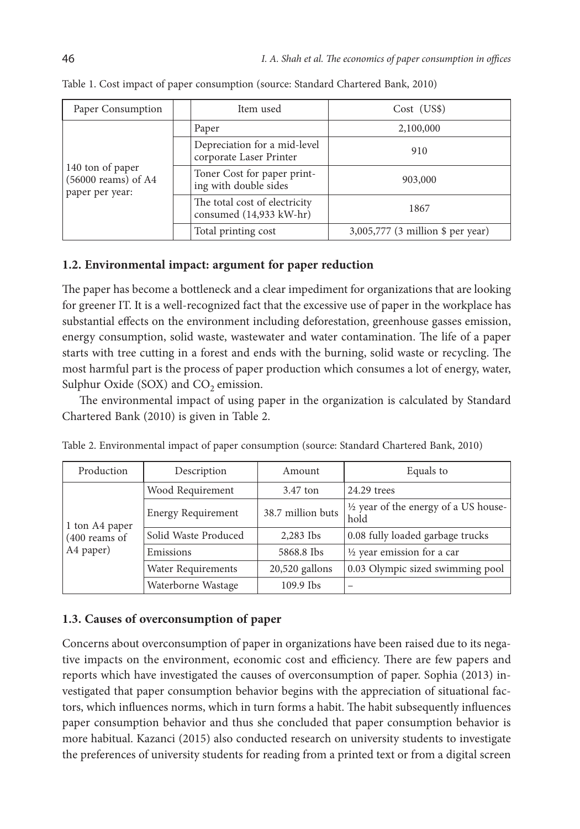| Paper Consumption                                            | Item used                                                | Cost (USS)                        |
|--------------------------------------------------------------|----------------------------------------------------------|-----------------------------------|
|                                                              | Paper                                                    | 2,100,000                         |
| 140 ton of paper<br>$(56000$ reams) of A4<br>paper per year: | Depreciation for a mid-level<br>corporate Laser Printer  | 910                               |
|                                                              | Toner Cost for paper print-<br>ing with double sides     | 903,000                           |
|                                                              | The total cost of electricity<br>consumed (14,933 kW-hr) | 1867                              |
|                                                              | Total printing cost                                      | 3,005,777 (3 million \$ per year) |

Table 1. Cost impact of paper consumption (source: Standard Chartered Bank, 2010)

## **1.2. Environmental impact: argument for paper reduction**

The paper has become a bottleneck and a clear impediment for organizations that are looking for greener IT. It is a well-recognized fact that the excessive use of paper in the workplace has substantial effects on the environment including deforestation, greenhouse gasses emission, energy consumption, solid waste, wastewater and water contamination. The life of a paper starts with tree cutting in a forest and ends with the burning, solid waste or recycling. The most harmful part is the process of paper production which consumes a lot of energy, water, Sulphur Oxide (SOX) and  $CO<sub>2</sub>$  emission.

The environmental impact of using paper in the organization is calculated by Standard Chartered Bank (2010) is given in Table 2.

| Production                                     | Description<br>Amount     |                   | Equals to                                               |
|------------------------------------------------|---------------------------|-------------------|---------------------------------------------------------|
| 1 ton A4 paper<br>$(400$ reams of<br>A4 paper) | Wood Requirement          | 3.47 ton          | 24.29 trees                                             |
|                                                | <b>Energy Requirement</b> | 38.7 million buts | $\frac{1}{2}$ year of the energy of a US house-<br>hold |
|                                                | Solid Waste Produced      | 2,283 Ibs         | 0.08 fully loaded garbage trucks                        |
|                                                | Emissions                 | 5868.8 Ibs        | $\frac{1}{2}$ year emission for a car                   |
|                                                | <b>Water Requirements</b> | $20,520$ gallons  | 0.03 Olympic sized swimming pool                        |
|                                                | Waterborne Wastage        | $109.9$ Ibs       |                                                         |

Table 2. Environmental impact of paper consumption (source: Standard Chartered Bank, 2010)

# **1.3. Causes of overconsumption of paper**

Concerns about overconsumption of paper in organizations have been raised due to its negative impacts on the environment, economic cost and efficiency. There are few papers and reports which have investigated the causes of overconsumption of paper. Sophia (2013) investigated that paper consumption behavior begins with the appreciation of situational factors, which influences norms, which in turn forms a habit. The habit subsequently influences paper consumption behavior and thus she concluded that paper consumption behavior is more habitual. Kazanci (2015) also conducted research on university students to investigate the preferences of university students for reading from a printed text or from a digital screen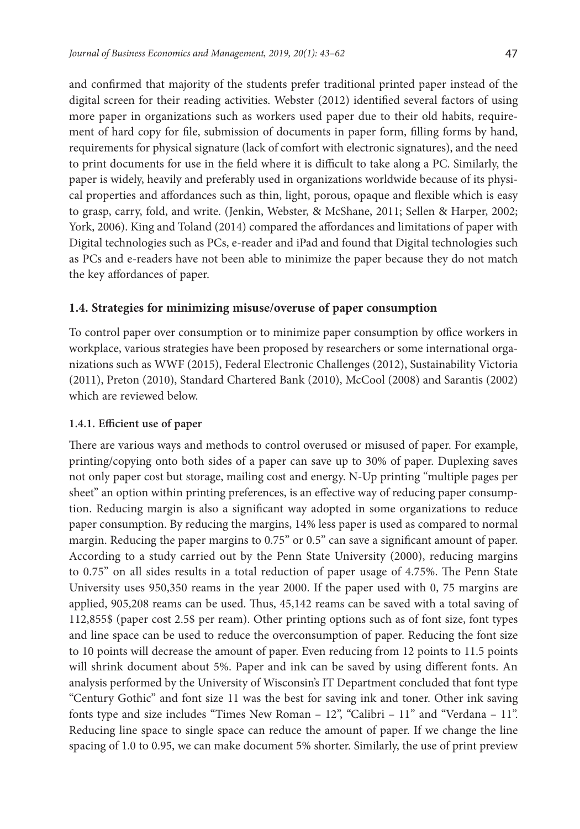and confirmed that majority of the students prefer traditional printed paper instead of the digital screen for their reading activities. Webster (2012) identified several factors of using more paper in organizations such as workers used paper due to their old habits, requirement of hard copy for file, submission of documents in paper form, filling forms by hand, requirements for physical signature (lack of comfort with electronic signatures), and the need to print documents for use in the field where it is difficult to take along a PC. Similarly, the paper is widely, heavily and preferably used in organizations worldwide because of its physical properties and affordances such as thin, light, porous, opaque and flexible which is easy to grasp, carry, fold, and write. (Jenkin, Webster, & McShane, 2011; Sellen & Harper, 2002; York, 2006). King and Toland (2014) compared the affordances and limitations of paper with Digital technologies such as PCs, e-reader and iPad and found that Digital technologies such as PCs and e-readers have not been able to minimize the paper because they do not match the key affordances of paper.

### **1.4. Strategies for minimizing misuse/overuse of paper consumption**

To control paper over consumption or to minimize paper consumption by office workers in workplace, various strategies have been proposed by researchers or some international organizations such as WWF (2015), Federal Electronic Challenges (2012), Sustainability Victoria (2011), Preton (2010), Standard Chartered Bank (2010), McCool (2008) and Sarantis (2002) which are reviewed below.

#### **1.4.1. Efficient use of paper**

There are various ways and methods to control overused or misused of paper. For example, printing/copying onto both sides of a paper can save up to 30% of paper. Duplexing saves not only paper cost but storage, mailing cost and energy. N-Up printing "multiple pages per sheet" an option within printing preferences, is an effective way of reducing paper consumption. Reducing margin is also a significant way adopted in some organizations to reduce paper consumption. By reducing the margins, 14% less paper is used as compared to normal margin. Reducing the paper margins to 0.75" or 0.5" can save a significant amount of paper. According to a study carried out by the Penn State University (2000), reducing margins to 0.75" on all sides results in a total reduction of paper usage of 4.75%. The Penn State University uses 950,350 reams in the year 2000. If the paper used with 0, 75 margins are applied, 905,208 reams can be used. Thus, 45,142 reams can be saved with a total saving of 112,855\$ (paper cost 2.5\$ per ream). Other printing options such as of font size, font types and line space can be used to reduce the overconsumption of paper. Reducing the font size to 10 points will decrease the amount of paper. Even reducing from 12 points to 11.5 points will shrink document about 5%. Paper and ink can be saved by using different fonts. An analysis performed by the University of Wisconsin's IT Department concluded that font type "Century Gothic" and font size 11 was the best for saving ink and toner. Other ink saving fonts type and size includes "Times New Roman – 12", "Calibri – 11" and "Verdana – 11". Reducing line space to single space can reduce the amount of paper. If we change the line spacing of 1.0 to 0.95, we can make document 5% shorter. Similarly, the use of print preview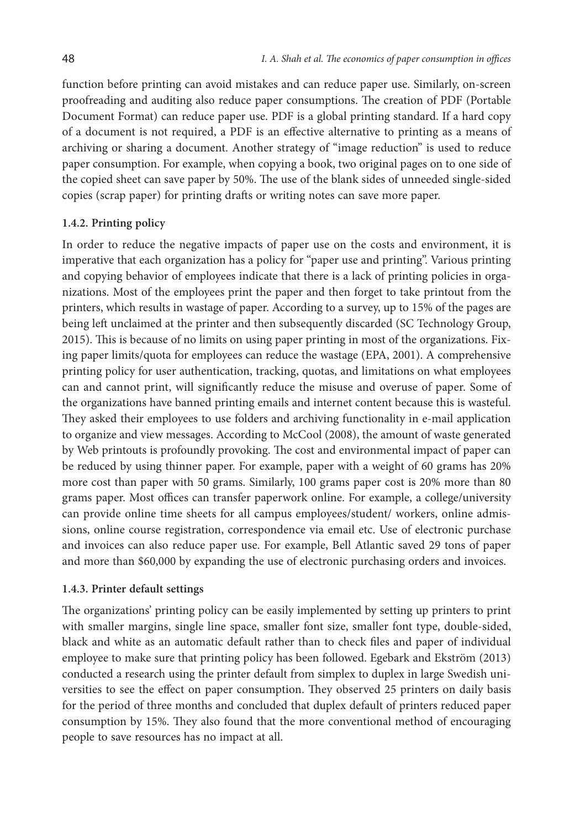function before printing can avoid mistakes and can reduce paper use. Similarly, on-screen proofreading and auditing also reduce paper consumptions. The creation of PDF (Portable Document Format) can reduce paper use. PDF is a global printing standard. If a hard copy of a document is not required, a PDF is an effective alternative to printing as a means of archiving or sharing a document. Another strategy of "image reduction" is used to reduce paper consumption. For example, when copying a book, two original pages on to one side of the copied sheet can save paper by 50%. The use of the blank sides of unneeded single-sided copies (scrap paper) for printing drafts or writing notes can save more paper.

### **1.4.2. Printing policy**

In order to reduce the negative impacts of paper use on the costs and environment, it is imperative that each organization has a policy for "paper use and printing". Various printing and copying behavior of employees indicate that there is a lack of printing policies in organizations. Most of the employees print the paper and then forget to take printout from the printers, which results in wastage of paper. According to a survey, up to 15% of the pages are being left unclaimed at the printer and then subsequently discarded (SC Technology Group, 2015). This is because of no limits on using paper printing in most of the organizations. Fixing paper limits/quota for employees can reduce the wastage (EPA, 2001). A comprehensive printing policy for user authentication, tracking, quotas, and limitations on what employees can and cannot print, will significantly reduce the misuse and overuse of paper. Some of the organizations have banned printing emails and internet content because this is wasteful. They asked their employees to use folders and archiving functionality in e-mail application to organize and view messages. According to McCool (2008), the amount of waste generated by Web printouts is profoundly provoking. The cost and environmental impact of paper can be reduced by using thinner paper. For example, paper with a weight of 60 grams has 20% more cost than paper with 50 grams. Similarly, 100 grams paper cost is 20% more than 80 grams paper. Most offices can transfer paperwork online. For example, a college/university can provide online time sheets for all campus employees/student/ workers, online admissions, online course registration, correspondence via email etc. Use of electronic purchase and invoices can also reduce paper use. For example, Bell Atlantic saved 29 tons of paper and more than \$60,000 by expanding the use of electronic purchasing orders and invoices.

#### **1.4.3. Printer default settings**

The organizations' printing policy can be easily implemented by setting up printers to print with smaller margins, single line space, smaller font size, smaller font type, double-sided, black and white as an automatic default rather than to check files and paper of individual employee to make sure that printing policy has been followed. Egebark and Ekström (2013) conducted a research using the printer default from simplex to duplex in large Swedish universities to see the effect on paper consumption. They observed 25 printers on daily basis for the period of three months and concluded that duplex default of printers reduced paper consumption by 15%. They also found that the more conventional method of encouraging people to save resources has no impact at all.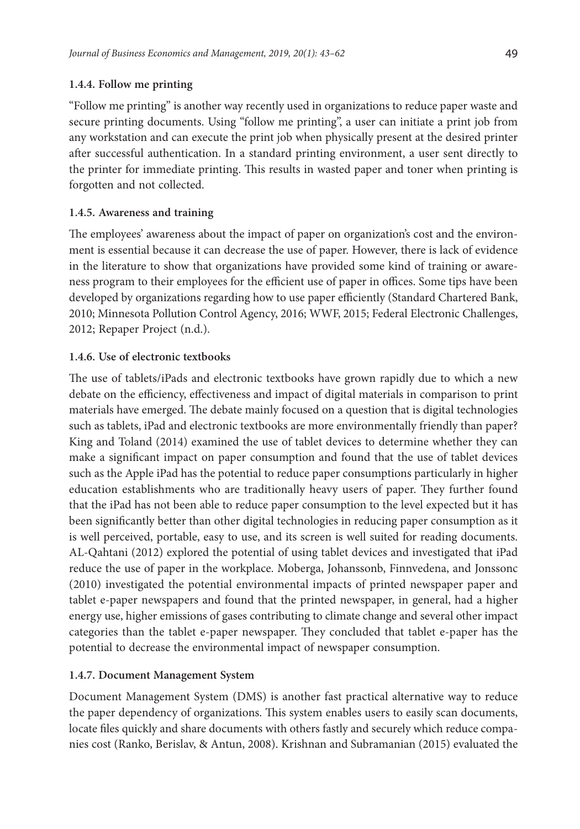### **1.4.4. Follow me printing**

"Follow me printing" is another way recently used in organizations to reduce paper waste and secure printing documents. Using "follow me printing", a user can initiate a print job from any workstation and can execute the print job when physically present at the desired printer after successful authentication. In a standard printing environment, a user sent directly to the printer for immediate printing. This results in wasted paper and toner when printing is forgotten and not collected.

### **1.4.5. Awareness and training**

The employees' awareness about the impact of paper on organization's cost and the environment is essential because it can decrease the use of paper. However, there is lack of evidence in the literature to show that organizations have provided some kind of training or awareness program to their employees for the efficient use of paper in offices. Some tips have been developed by organizations regarding how to use paper efficiently (Standard Chartered Bank, 2010; Minnesota Pollution Control Agency, 2016; WWF, 2015; Federal Electronic Challenges, 2012; Repaper Project (n.d.).

### **1.4.6. Use of electronic textbooks**

The use of tablets/iPads and electronic textbooks have grown rapidly due to which a new debate on the efficiency, effectiveness and impact of digital materials in comparison to print materials have emerged. The debate mainly focused on a question that is digital technologies such as tablets, iPad and electronic textbooks are more environmentally friendly than paper? King and Toland (2014) examined the use of tablet devices to determine whether they can make a significant impact on paper consumption and found that the use of tablet devices such as the Apple iPad has the potential to reduce paper consumptions particularly in higher education establishments who are traditionally heavy users of paper. They further found that the iPad has not been able to reduce paper consumption to the level expected but it has been significantly better than other digital technologies in reducing paper consumption as it is well perceived, portable, easy to use, and its screen is well suited for reading documents. AL-Qahtani (2012) explored the potential of using tablet devices and investigated that iPad reduce the use of paper in the workplace. Moberga, Johanssonb, Finnvedena, and Jonssonc (2010) investigated the potential environmental impacts of printed newspaper paper and tablet e-paper newspapers and found that the printed newspaper, in general, had a higher energy use, higher emissions of gases contributing to climate change and several other impact categories than the tablet e-paper newspaper. They concluded that tablet e-paper has the potential to decrease the environmental impact of newspaper consumption.

### **1.4.7. Document Management System**

Document Management System (DMS) is another fast practical alternative way to reduce the paper dependency of organizations. This system enables users to easily scan documents, locate files quickly and share documents with others fastly and securely which reduce companies cost (Ranko, Berislav, & Antun, 2008). Krishnan and Subramanian (2015) evaluated the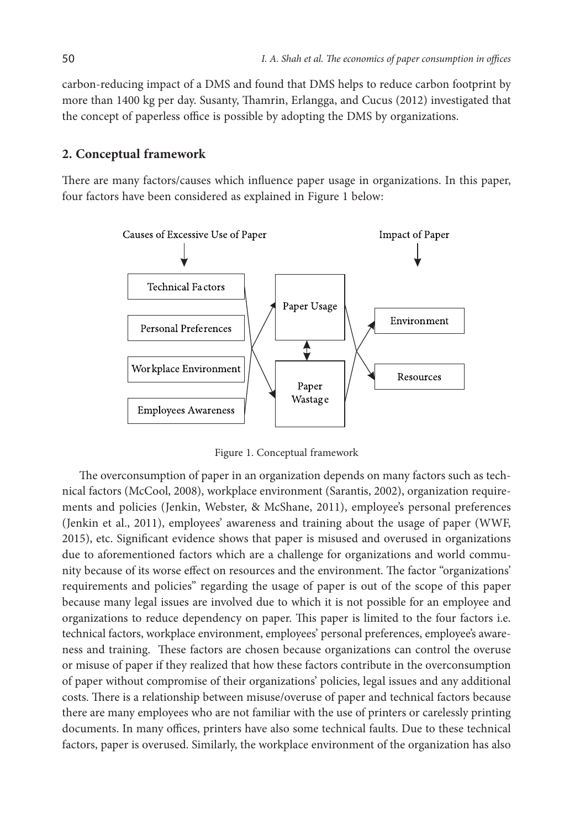carbon-reducing impact of a DMS and found that DMS helps to reduce carbon footprint by more than 1400 kg per day. Susanty, Thamrin, Erlangga, and Cucus (2012) investigated that the concept of paperless office is possible by adopting the DMS by organizations.

#### **2. Conceptual framework**

There are many factors/causes which influence paper usage in organizations. In this paper, four factors have been considered as explained in Figure 1 below:



Figure 1. Conceptual framework

The overconsumption of paper in an organization depends on many factors such as technical factors (McCool, 2008), workplace environment (Sarantis, 2002), organization requirements and policies (Jenkin, Webster, & McShane, 2011), employee's personal preferences (Jenkin et al., 2011), employees' awareness and training about the usage of paper (WWF, 2015), etc. Significant evidence shows that paper is misused and overused in organizations due to aforementioned factors which are a challenge for organizations and world community because of its worse effect on resources and the environment. The factor "organizations' requirements and policies" regarding the usage of paper is out of the scope of this paper because many legal issues are involved due to which it is not possible for an employee and organizations to reduce dependency on paper. This paper is limited to the four factors i.e. technical factors, workplace environment, employees' personal preferences, employee's awareness and training. These factors are chosen because organizations can control the overuse or misuse of paper if they realized that how these factors contribute in the overconsumption of paper without compromise of their organizations' policies, legal issues and any additional costs. There is a relationship between misuse/overuse of paper and technical factors because there are many employees who are not familiar with the use of printers or carelessly printing documents. In many offices, printers have also some technical faults. Due to these technical factors, paper is overused. Similarly, the workplace environment of the organization has also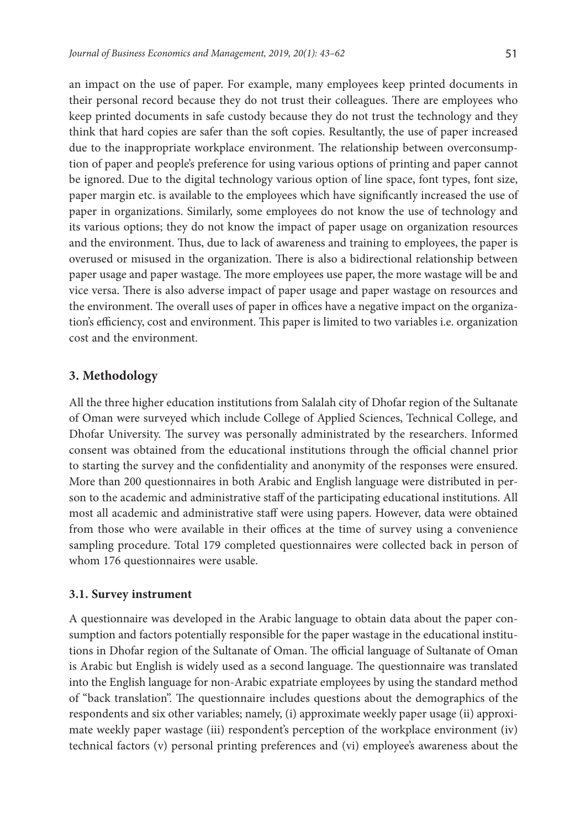an impact on the use of paper. For example, many employees keep printed documents in their personal record because they do not trust their colleagues. There are employees who keep printed documents in safe custody because they do not trust the technology and they think that hard copies are safer than the soft copies. Resultantly, the use of paper increased due to the inappropriate workplace environment. The relationship between overconsumption of paper and people's preference for using various options of printing and paper cannot be ignored. Due to the digital technology various option of line space, font types, font size, paper margin etc. is available to the employees which have significantly increased the use of paper in organizations. Similarly, some employees do not know the use of technology and its various options; they do not know the impact of paper usage on organization resources and the environment. Thus, due to lack of awareness and training to employees, the paper is overused or misused in the organization. There is also a bidirectional relationship between paper usage and paper wastage. The more employees use paper, the more wastage will be and vice versa. There is also adverse impact of paper usage and paper wastage on resources and the environment. The overall uses of paper in offices have a negative impact on the organization's efficiency, cost and environment. This paper is limited to two variables i.e. organization cost and the environment.

# **3. Methodology**

All the three higher education institutions from Salalah city of Dhofar region of the Sultanate of Oman were surveyed which include College of Applied Sciences, Technical College, and Dhofar University. The survey was personally administrated by the researchers. Informed consent was obtained from the educational institutions through the official channel prior to starting the survey and the confidentiality and anonymity of the responses were ensured. More than 200 questionnaires in both Arabic and English language were distributed in person to the academic and administrative staff of the participating educational institutions. All most all academic and administrative staff were using papers. However, data were obtained from those who were available in their offices at the time of survey using a convenience sampling procedure. Total 179 completed questionnaires were collected back in person of whom 176 questionnaires were usable.

# **3.1. Survey instrument**

A questionnaire was developed in the Arabic language to obtain data about the paper consumption and factors potentially responsible for the paper wastage in the educational institutions in Dhofar region of the Sultanate of Oman. The official language of Sultanate of Oman is Arabic but English is widely used as a second language. The questionnaire was translated into the English language for non-Arabic expatriate employees by using the standard method of "back translation". The questionnaire includes questions about the demographics of the respondents and six other variables; namely, (i) approximate weekly paper usage (ii) approximate weekly paper wastage (iii) respondent's perception of the workplace environment (iv) technical factors (v) personal printing preferences and (vi) employee's awareness about the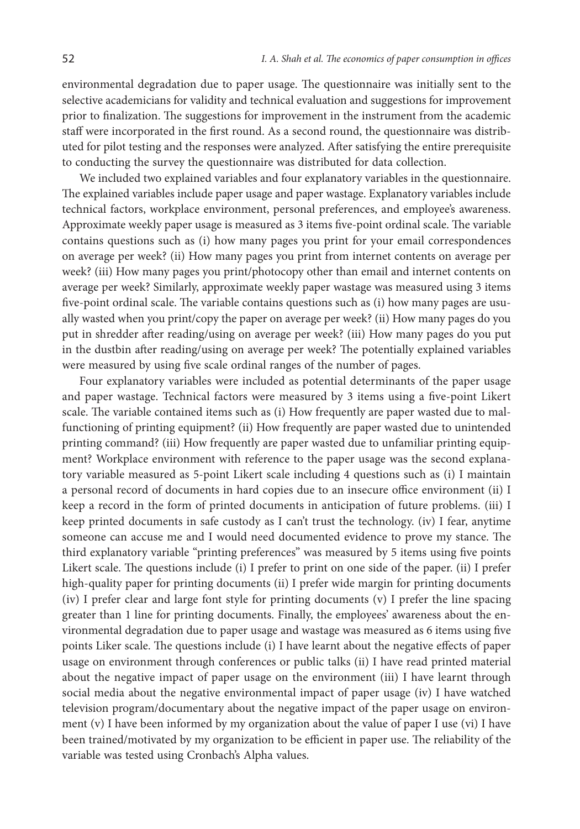environmental degradation due to paper usage. The questionnaire was initially sent to the selective academicians for validity and technical evaluation and suggestions for improvement prior to finalization. The suggestions for improvement in the instrument from the academic staff were incorporated in the first round. As a second round, the questionnaire was distributed for pilot testing and the responses were analyzed. After satisfying the entire prerequisite to conducting the survey the questionnaire was distributed for data collection.

We included two explained variables and four explanatory variables in the questionnaire. The explained variables include paper usage and paper wastage. Explanatory variables include technical factors, workplace environment, personal preferences, and employee's awareness. Approximate weekly paper usage is measured as 3 items five-point ordinal scale. The variable contains questions such as (i) how many pages you print for your email correspondences on average per week? (ii) How many pages you print from internet contents on average per week? (iii) How many pages you print/photocopy other than email and internet contents on average per week? Similarly, approximate weekly paper wastage was measured using 3 items five-point ordinal scale. The variable contains questions such as (i) how many pages are usually wasted when you print/copy the paper on average per week? (ii) How many pages do you put in shredder after reading/using on average per week? (iii) How many pages do you put in the dustbin after reading/using on average per week? The potentially explained variables were measured by using five scale ordinal ranges of the number of pages.

Four explanatory variables were included as potential determinants of the paper usage and paper wastage. Technical factors were measured by 3 items using a five-point Likert scale. The variable contained items such as (i) How frequently are paper wasted due to malfunctioning of printing equipment? (ii) How frequently are paper wasted due to unintended printing command? (iii) How frequently are paper wasted due to unfamiliar printing equipment? Workplace environment with reference to the paper usage was the second explanatory variable measured as 5-point Likert scale including 4 questions such as (i) I maintain a personal record of documents in hard copies due to an insecure office environment (ii) I keep a record in the form of printed documents in anticipation of future problems. (iii) I keep printed documents in safe custody as I can't trust the technology. (iv) I fear, anytime someone can accuse me and I would need documented evidence to prove my stance. The third explanatory variable "printing preferences" was measured by 5 items using five points Likert scale. The questions include (i) I prefer to print on one side of the paper. (ii) I prefer high-quality paper for printing documents (ii) I prefer wide margin for printing documents (iv) I prefer clear and large font style for printing documents (v) I prefer the line spacing greater than 1 line for printing documents. Finally, the employees' awareness about the environmental degradation due to paper usage and wastage was measured as 6 items using five points Liker scale. The questions include (i) I have learnt about the negative effects of paper usage on environment through conferences or public talks (ii) I have read printed material about the negative impact of paper usage on the environment (iii) I have learnt through social media about the negative environmental impact of paper usage (iv) I have watched television program/documentary about the negative impact of the paper usage on environment (v) I have been informed by my organization about the value of paper I use (vi) I have been trained/motivated by my organization to be efficient in paper use. The reliability of the variable was tested using Cronbach's Alpha values.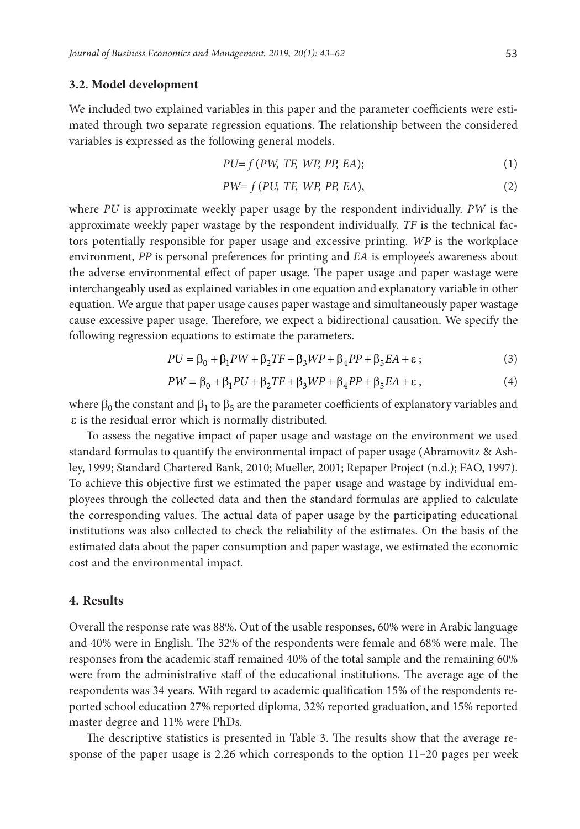#### **3.2. Model development**

We included two explained variables in this paper and the parameter coefficients were estimated through two separate regression equations. The relationship between the considered variables is expressed as the following general models.

$$
PU=f(PW, TF, WP, PP, EA); \t\t(1)
$$

$$
PW=f(PU, TF, WP, PP, EA),\tag{2}
$$

where *PU* is approximate weekly paper usage by the respondent individually. *PW* is the approximate weekly paper wastage by the respondent individually. *TF* is the technical factors potentially responsible for paper usage and excessive printing. *WP* is the workplace environment, *PP* is personal preferences for printing and *EA* is employee's awareness about the adverse environmental effect of paper usage. The paper usage and paper wastage were interchangeably used as explained variables in one equation and explanatory variable in other equation. We argue that paper usage causes paper wastage and simultaneously paper wastage cause excessive paper usage. Therefore, we expect a bidirectional causation. We specify the following regression equations to estimate the parameters.

$$
PU = \beta_0 + \beta_1 PW + \beta_2 TF + \beta_3 WP + \beta_4 PP + \beta_5 EA + \varepsilon \tag{3}
$$

$$
PW = \beta_0 + \beta_1 PU + \beta_2 TF + \beta_3 WP + \beta_4 PP + \beta_5 EA + \varepsilon,
$$
\n(4)

where  $\beta_0$  the constant and  $\beta_1$  to  $\beta_5$  are the parameter coefficients of explanatory variables and ε is the residual error which is normally distributed.

To assess the negative impact of paper usage and wastage on the environment we used standard formulas to quantify the environmental impact of paper usage (Abramovitz & Ashley, 1999; Standard Chartered Bank, 2010; Mueller, 2001; Repaper Project (n.d.); FAO, 1997). To achieve this objective first we estimated the paper usage and wastage by individual employees through the collected data and then the standard formulas are applied to calculate the corresponding values. The actual data of paper usage by the participating educational institutions was also collected to check the reliability of the estimates. On the basis of the estimated data about the paper consumption and paper wastage, we estimated the economic cost and the environmental impact.

#### **4. Results**

Overall the response rate was 88%. Out of the usable responses, 60% were in Arabic language and 40% were in English. The 32% of the respondents were female and 68% were male. The responses from the academic staff remained 40% of the total sample and the remaining 60% were from the administrative staff of the educational institutions. The average age of the respondents was 34 years. With regard to academic qualification 15% of the respondents reported school education 27% reported diploma, 32% reported graduation, and 15% reported master degree and 11% were PhDs.

The descriptive statistics is presented in Table 3. The results show that the average response of the paper usage is 2.26 which corresponds to the option 11–20 pages per week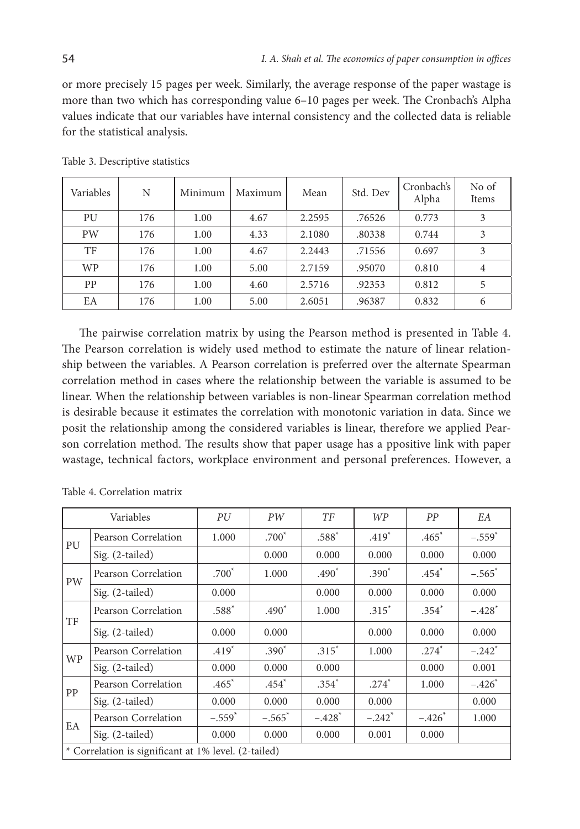or more precisely 15 pages per week. Similarly, the average response of the paper wastage is more than two which has corresponding value 6–10 pages per week. The Cronbach's Alpha values indicate that our variables have internal consistency and the collected data is reliable for the statistical analysis.

| Variables | N   | Minimum | Maximum | Mean   | Std. Dev | Cronbach's<br>Alpha | No of<br>Items |
|-----------|-----|---------|---------|--------|----------|---------------------|----------------|
| PU        | 176 | 1.00    | 4.67    | 2.2595 | .76526   | 0.773               | 3              |
| <b>PW</b> | 176 | 1.00    | 4.33    | 2.1080 | .80338   | 0.744               | 3              |
| TF        | 176 | 1.00    | 4.67    | 2.2443 | .71556   | 0.697               | 3              |
| <b>WP</b> | 176 | 1.00    | 5.00    | 2.7159 | .95070   | 0.810               | $\overline{4}$ |
| PP        | 176 | 1.00    | 4.60    | 2.5716 | .92353   | 0.812               | 5              |
| EA        | 176 | 1.00    | 5.00    | 2.6051 | .96387   | 0.832               | 6              |

Table 3. Descriptive statistics

The pairwise correlation matrix by using the Pearson method is presented in Table 4. The Pearson correlation is widely used method to estimate the nature of linear relationship between the variables. A Pearson correlation is preferred over the alternate Spearman correlation method in cases where the relationship between the variable is assumed to be linear. When the relationship between variables is non-linear Spearman correlation method is desirable because it estimates the correlation with monotonic variation in data. Since we posit the relationship among the considered variables is linear, therefore we applied Pearson correlation method. The results show that paper usage has a ppositive link with paper wastage, technical factors, workplace environment and personal preferences. However, a

|           | Variables                                            | PU                   | PW                   | TF                   | <b>WP</b>            | PP       | EA                   |  |
|-----------|------------------------------------------------------|----------------------|----------------------|----------------------|----------------------|----------|----------------------|--|
| PU        | Pearson Correlation                                  | 1.000                | $.700^*$             | $.588*$              | $.419*$              | $.465*$  | $-.559$ <sup>*</sup> |  |
|           | $Sig. (2-tailed)$                                    |                      | 0.000                | 0.000                | 0.000                | 0.000    | 0.000                |  |
| PW        | Pearson Correlation                                  | $.700*$              | 1.000                | $.490*$              | $.390*$              | $.454*$  | $-.565$ <sup>*</sup> |  |
|           | Sig. (2-tailed)                                      | 0.000                |                      | 0.000                | 0.000                | 0.000    | 0.000                |  |
| TF        | Pearson Correlation                                  | $.588*$              | $.490*$              | 1.000                | $.315*$              | $.354*$  | $-.428$ <sup>*</sup> |  |
|           | $Sig. (2-tailed)$                                    | 0.000                | 0.000                |                      | 0.000                | 0.000    | 0.000                |  |
| <b>WP</b> | Pearson Correlation                                  | $.419*$              | $.390*$              | $.315*$              | 1.000                | $.274*$  | $-.242$ <sup>*</sup> |  |
|           | $Sig. (2-tailed)$                                    | 0.000                | 0.000                | 0.000                |                      | 0.000    | 0.001                |  |
| PP        | Pearson Correlation                                  | $.465*$              | $.454*$              | $.354*$              | $.274*$              | 1.000    | $-.426*$             |  |
|           | $Sig. (2-tailed)$                                    | 0.000                | 0.000                | 0.000                | 0.000                |          | 0.000                |  |
| EA        | Pearson Correlation                                  | $-.559$ <sup>*</sup> | $-.565$ <sup>*</sup> | $-.428$ <sup>*</sup> | $-.242$ <sup>*</sup> | $-.426*$ | 1.000                |  |
|           | Sig. (2-tailed)                                      | 0.000                | 0.000                | 0.000                | 0.001                | 0.000    |                      |  |
|           | * Correlation is significant at 1% level. (2-tailed) |                      |                      |                      |                      |          |                      |  |

Table 4. Correlation matrix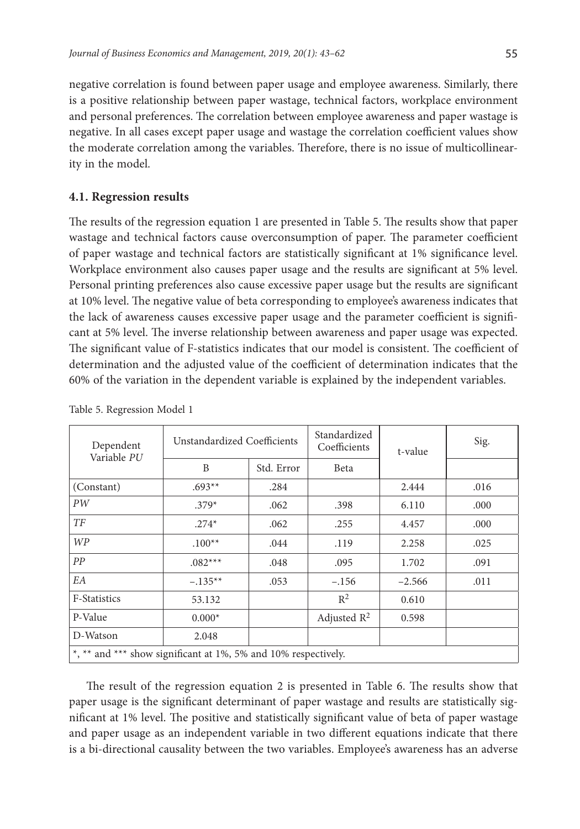negative correlation is found between paper usage and employee awareness. Similarly, there is a positive relationship between paper wastage, technical factors, workplace environment and personal preferences. The correlation between employee awareness and paper wastage is negative. In all cases except paper usage and wastage the correlation coefficient values show the moderate correlation among the variables. Therefore, there is no issue of multicollinearity in the model.

### **4.1. Regression results**

The results of the regression equation 1 are presented in Table 5. The results show that paper wastage and technical factors cause overconsumption of paper. The parameter coefficient of paper wastage and technical factors are statistically significant at 1% significance level. Workplace environment also causes paper usage and the results are significant at 5% level. Personal printing preferences also cause excessive paper usage but the results are significant at 10% level. The negative value of beta corresponding to employee's awareness indicates that the lack of awareness causes excessive paper usage and the parameter coefficient is significant at 5% level. The inverse relationship between awareness and paper usage was expected. The significant value of F-statistics indicates that our model is consistent. The coefficient of determination and the adjusted value of the coefficient of determination indicates that the 60% of the variation in the dependent variable is explained by the independent variables.

| Dependent<br>Variable PU                                       | Unstandardized Coefficients |            | Standardized<br>Coefficients | t-value  | Sig. |  |  |
|----------------------------------------------------------------|-----------------------------|------------|------------------------------|----------|------|--|--|
|                                                                | B                           | Std. Error | Beta                         |          |      |  |  |
| (Constant)                                                     | $.693**$                    | .284       |                              | 2.444    | .016 |  |  |
| PW                                                             | $.379*$                     | .062       | .398                         | 6.110    | .000 |  |  |
| TF                                                             | $.274*$                     | .062       | .255                         | 4.457    | .000 |  |  |
| WP                                                             | $.100**$                    | .044       | .119                         | 2.258    | .025 |  |  |
| PP                                                             | $.082***$                   | .048       | .095                         | 1.702    | .091 |  |  |
| EA                                                             | $-.135**$                   | .053       | $-.156$                      | $-2.566$ | .011 |  |  |
| F-Statistics                                                   | 53.132                      |            | $R^2$                        | 0.610    |      |  |  |
| P-Value                                                        | $0.000*$                    |            | Adjusted $\mathbb{R}^2$      | 0.598    |      |  |  |
| D-Watson                                                       | 2.048                       |            |                              |          |      |  |  |
| *, ** and *** show significant at 1%, 5% and 10% respectively. |                             |            |                              |          |      |  |  |

Table 5. Regression Model 1

The result of the regression equation 2 is presented in Table 6. The results show that paper usage is the significant determinant of paper wastage and results are statistically significant at 1% level. The positive and statistically significant value of beta of paper wastage and paper usage as an independent variable in two different equations indicate that there is a bi-directional causality between the two variables. Employee's awareness has an adverse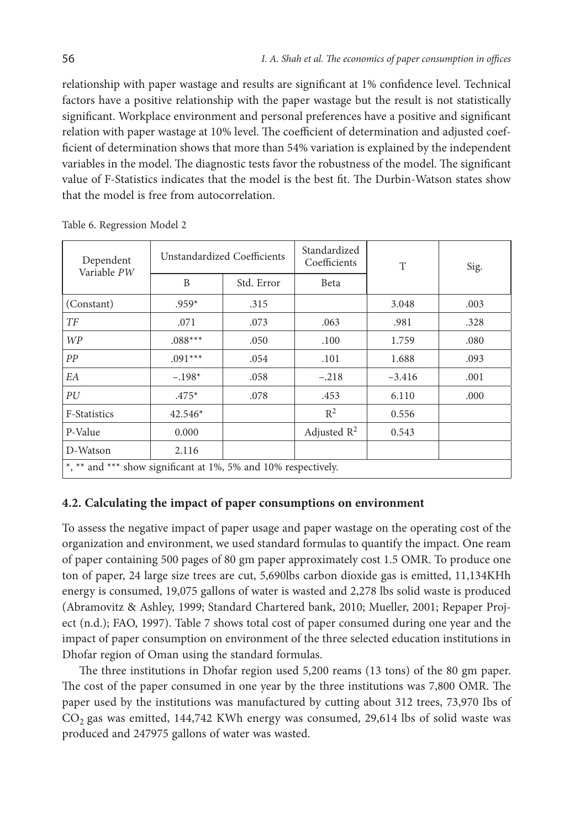relationship with paper wastage and results are significant at 1% confidence level. Technical factors have a positive relationship with the paper wastage but the result is not statistically significant. Workplace environment and personal preferences have a positive and significant relation with paper wastage at 10% level. The coefficient of determination and adjusted coefficient of determination shows that more than 54% variation is explained by the independent variables in the model. The diagnostic tests favor the robustness of the model. The significant value of F-Statistics indicates that the model is the best fit. The Durbin-Watson states show that the model is free from autocorrelation.

| Dependent<br>Variable PW                                       |           | Unstandardized Coefficients | Standardized<br>Coefficients | T        | Sig. |  |  |
|----------------------------------------------------------------|-----------|-----------------------------|------------------------------|----------|------|--|--|
|                                                                | B         | Std. Error                  | Beta                         |          |      |  |  |
| (Constant)                                                     | $.959*$   | .315                        |                              | 3.048    | .003 |  |  |
| TF                                                             | .071      | .073                        | .063                         | .981     | .328 |  |  |
| WP                                                             | $.088***$ | .050                        | .100                         | 1.759    | .080 |  |  |
| PP                                                             | $.091***$ | .054                        | .101                         | 1.688    | .093 |  |  |
| EA                                                             | $-.198*$  | .058                        | $-.218$                      | $-3.416$ | .001 |  |  |
| PU                                                             | $.475*$   | .078                        | .453                         | 6.110    | .000 |  |  |
| F-Statistics                                                   | $42.546*$ |                             | $R^2$                        | 0.556    |      |  |  |
| P-Value                                                        | 0.000     |                             | Adjusted $R^2$               | 0.543    |      |  |  |
| D-Watson                                                       | 2.116     |                             |                              |          |      |  |  |
| *, ** and *** show significant at 1%, 5% and 10% respectively. |           |                             |                              |          |      |  |  |

Table 6. Regression Model 2

#### **4.2. Calculating the impact of paper consumptions on environment**

To assess the negative impact of paper usage and paper wastage on the operating cost of the organization and environment, we used standard formulas to quantify the impact. One ream of paper containing 500 pages of 80 gm paper approximately cost 1.5 OMR. To produce one ton of paper, 24 large size trees are cut, 5,690lbs carbon dioxide gas is emitted, 11,134KHh energy is consumed, 19,075 gallons of water is wasted and 2,278 lbs solid waste is produced (Abramovitz & Ashley, 1999; Standard Chartered bank, 2010; Mueller, 2001; Repaper Project (n.d.); FAO, 1997). Table 7 shows total cost of paper consumed during one year and the impact of paper consumption on environment of the three selected education institutions in Dhofar region of Oman using the standard formulas.

The three institutions in Dhofar region used 5,200 reams (13 tons) of the 80 gm paper. The cost of the paper consumed in one year by the three institutions was 7,800 OMR. The paper used by the institutions was manufactured by cutting about 312 trees, 73,970 Ibs of  $CO<sub>2</sub>$  gas was emitted, 144,742 KWh energy was consumed, 29,614 lbs of solid waste was produced and 247975 gallons of water was wasted.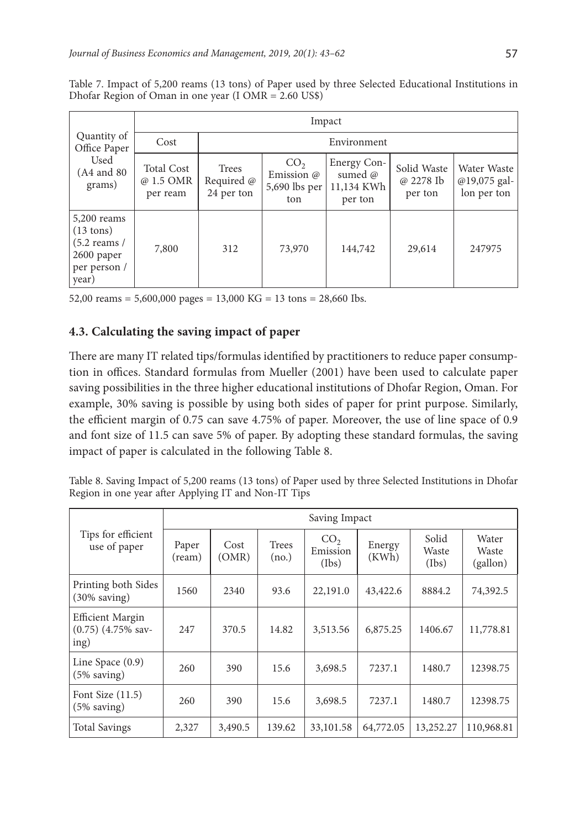|                                                                                               | Impact                                     |                                   |                                                       |                                                             |                                     |                                            |  |
|-----------------------------------------------------------------------------------------------|--------------------------------------------|-----------------------------------|-------------------------------------------------------|-------------------------------------------------------------|-------------------------------------|--------------------------------------------|--|
| Quantity of<br>Office Paper<br>Used<br>(A4 and 80)<br>grams)                                  | Cost                                       | Environment                       |                                                       |                                                             |                                     |                                            |  |
|                                                                                               | <b>Total Cost</b><br>@ 1.5 OMR<br>per ream | Trees<br>Required @<br>24 per ton | CO <sub>2</sub><br>Emission @<br>5,690 lbs per<br>ton | Energy Con-<br>sumed $\varnothing$<br>11,134 KWh<br>per ton | Solid Waste<br>@ 2278 Ib<br>per ton | Water Waste<br>@19,075 gal-<br>lon per ton |  |
| $5,200$ reams<br>$(13 \text{ tons})$<br>$(5.2$ reams /<br>2600 paper<br>per person /<br>year) | 7,800                                      | 312                               | 73,970                                                | 144,742                                                     | 29,614                              | 247975                                     |  |

Table 7. Impact of 5,200 reams (13 tons) of Paper used by three Selected Educational Institutions in Dhofar Region of Oman in one year (I OMR = 2.60 US\$)

52,00 reams = 5,600,000 pages = 13,000 KG = 13 tons = 28,660 Ibs.

# **4.3. Calculating the saving impact of paper**

There are many IT related tips/formulas identified by practitioners to reduce paper consumption in offices. Standard formulas from Mueller (2001) have been used to calculate paper saving possibilities in the three higher educational institutions of Dhofar Region, Oman. For example, 30% saving is possible by using both sides of paper for print purpose. Similarly, the efficient margin of 0.75 can save 4.75% of paper. Moreover, the use of line space of 0.9 and font size of 11.5 can save 5% of paper. By adopting these standard formulas, the saving impact of paper is calculated in the following Table 8.

Table 8. Saving Impact of 5,200 reams (13 tons) of Paper used by three Selected Institutions in Dhofar Region in one year after Applying IT and Non-IT Tips

|                                                            | Saving Impact   |               |                |                                      |                 |                         |                            |
|------------------------------------------------------------|-----------------|---------------|----------------|--------------------------------------|-----------------|-------------------------|----------------------------|
| Tips for efficient<br>use of paper                         | Paper<br>(ream) | Cost<br>(OMR) | Trees<br>(no.) | CO <sub>2</sub><br>Emission<br>(Ibs) | Energy<br>(KWh) | Solid<br>Waste<br>(Ibs) | Water<br>Waste<br>(gallon) |
| Printing both Sides<br>$(30\% \text{ saving})$             | 1560            | 2340          | 93.6           | 22,191.0                             | 43,422.6        | 8884.2                  | 74,392.5                   |
| <b>Efficient Margin</b><br>$(0.75)$ $(4.75\%$ sav-<br>ing) | 247             | 370.5         | 14.82          | 3,513.56                             | 6,875.25        | 1406.67                 | 11,778.81                  |
| Line Space $(0.9)$<br>$(5\% \text{ saving})$               | 260             | 390           | 15.6           | 3,698.5                              | 7237.1          | 1480.7                  | 12398.75                   |
| Font Size $(11.5)$<br>$(5\% \text{ saving})$               | 260             | 390           | 15.6           | 3,698.5                              | 7237.1          | 1480.7                  | 12398.75                   |
| <b>Total Savings</b>                                       | 2,327           | 3,490.5       | 139.62         | 33,101.58                            | 64,772.05       | 13,252.27               | 110,968.81                 |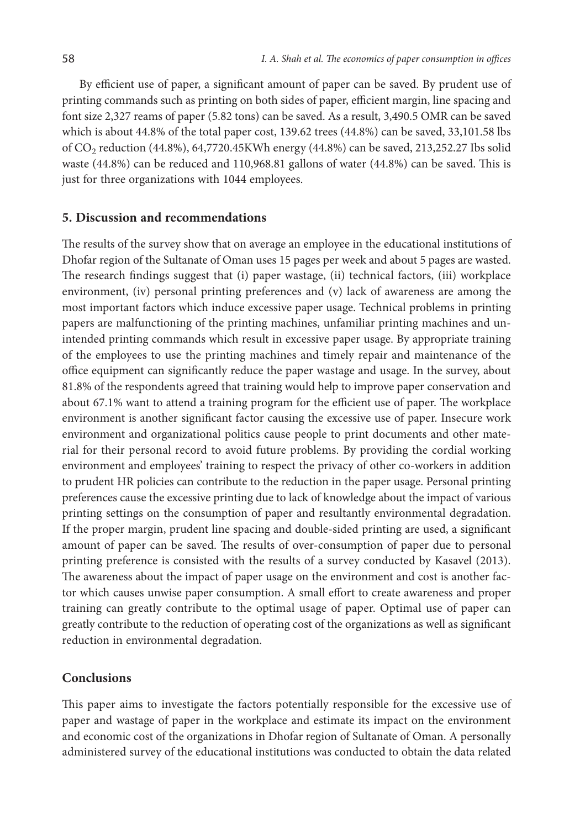By efficient use of paper, a significant amount of paper can be saved. By prudent use of printing commands such as printing on both sides of paper, efficient margin, line spacing and font size 2,327 reams of paper (5.82 tons) can be saved. As a result, 3,490.5 OMR can be saved which is about 44.8% of the total paper cost, 139.62 trees (44.8%) can be saved, 33,101.58 lbs of CO<sub>2</sub> reduction (44.8%), 64,7720.45KWh energy (44.8%) can be saved, 213,252.27 Ibs solid waste (44.8%) can be reduced and 110,968.81 gallons of water (44.8%) can be saved. This is just for three organizations with 1044 employees.

#### **5. Discussion and recommendations**

The results of the survey show that on average an employee in the educational institutions of Dhofar region of the Sultanate of Oman uses 15 pages per week and about 5 pages are wasted. The research findings suggest that (i) paper wastage, (ii) technical factors, (iii) workplace environment, (iv) personal printing preferences and (v) lack of awareness are among the most important factors which induce excessive paper usage. Technical problems in printing papers are malfunctioning of the printing machines, unfamiliar printing machines and unintended printing commands which result in excessive paper usage. By appropriate training of the employees to use the printing machines and timely repair and maintenance of the office equipment can significantly reduce the paper wastage and usage. In the survey, about 81.8% of the respondents agreed that training would help to improve paper conservation and about 67.1% want to attend a training program for the efficient use of paper. The workplace environment is another significant factor causing the excessive use of paper. Insecure work environment and organizational politics cause people to print documents and other material for their personal record to avoid future problems. By providing the cordial working environment and employees' training to respect the privacy of other co-workers in addition to prudent HR policies can contribute to the reduction in the paper usage. Personal printing preferences cause the excessive printing due to lack of knowledge about the impact of various printing settings on the consumption of paper and resultantly environmental degradation. If the proper margin, prudent line spacing and double-sided printing are used, a significant amount of paper can be saved. The results of over-consumption of paper due to personal printing preference is consisted with the results of a survey conducted by Kasavel (2013). The awareness about the impact of paper usage on the environment and cost is another factor which causes unwise paper consumption. A small effort to create awareness and proper training can greatly contribute to the optimal usage of paper. Optimal use of paper can greatly contribute to the reduction of operating cost of the organizations as well as significant reduction in environmental degradation.

### **Conclusions**

This paper aims to investigate the factors potentially responsible for the excessive use of paper and wastage of paper in the workplace and estimate its impact on the environment and economic cost of the organizations in Dhofar region of Sultanate of Oman. A personally administered survey of the educational institutions was conducted to obtain the data related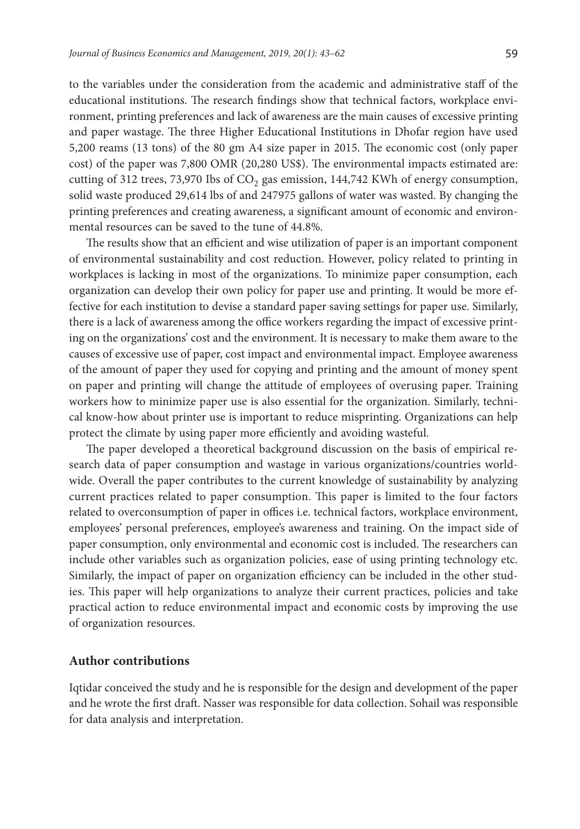to the variables under the consideration from the academic and administrative staff of the educational institutions. The research findings show that technical factors, workplace environment, printing preferences and lack of awareness are the main causes of excessive printing and paper wastage. The three Higher Educational Institutions in Dhofar region have used 5,200 reams (13 tons) of the 80 gm A4 size paper in 2015. The economic cost (only paper cost) of the paper was 7,800 OMR (20,280 US\$). The environmental impacts estimated are: cutting of 312 trees, 73,970 Ibs of  $CO<sub>2</sub>$  gas emission, 144,742 KWh of energy consumption, solid waste produced 29,614 lbs of and 247975 gallons of water was wasted. By changing the printing preferences and creating awareness, a significant amount of economic and environmental resources can be saved to the tune of 44.8%.

The results show that an efficient and wise utilization of paper is an important component of environmental sustainability and cost reduction. However, policy related to printing in workplaces is lacking in most of the organizations. To minimize paper consumption, each organization can develop their own policy for paper use and printing. It would be more effective for each institution to devise a standard paper saving settings for paper use. Similarly, there is a lack of awareness among the office workers regarding the impact of excessive printing on the organizations' cost and the environment. It is necessary to make them aware to the causes of excessive use of paper, cost impact and environmental impact. Employee awareness of the amount of paper they used for copying and printing and the amount of money spent on paper and printing will change the attitude of employees of overusing paper. Training workers how to minimize paper use is also essential for the organization. Similarly, technical know-how about printer use is important to reduce misprinting. Organizations can help protect the climate by using paper more efficiently and avoiding wasteful.

The paper developed a theoretical background discussion on the basis of empirical research data of paper consumption and wastage in various organizations/countries worldwide. Overall the paper contributes to the current knowledge of sustainability by analyzing current practices related to paper consumption. This paper is limited to the four factors related to overconsumption of paper in offices i.e. technical factors, workplace environment, employees' personal preferences, employee's awareness and training. On the impact side of paper consumption, only environmental and economic cost is included. The researchers can include other variables such as organization policies, ease of using printing technology etc. Similarly, the impact of paper on organization efficiency can be included in the other studies. This paper will help organizations to analyze their current practices, policies and take practical action to reduce environmental impact and economic costs by improving the use of organization resources.

### **Author contributions**

Iqtidar conceived the study and he is responsible for the design and development of the paper and he wrote the first draft. Nasser was responsible for data collection. Sohail was responsible for data analysis and interpretation.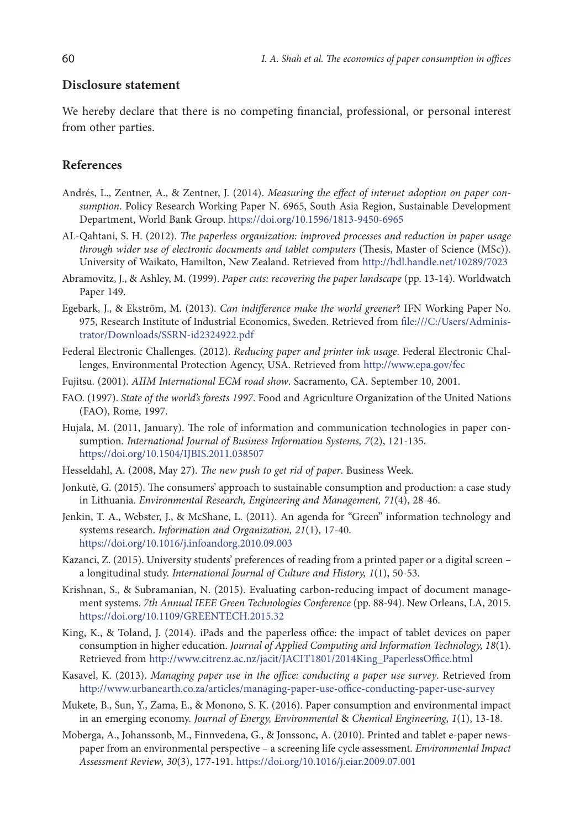#### **Disclosure statement**

We hereby declare that there is no competing financial, professional, or personal interest from other parties.

#### **References**

- Andrés, L., Zentner, A., & Zentner, J. (2014). *Measuring the effect of internet adoption on paper consumption*. Policy Research Working Paper N. 6965, South Asia Region, Sustainable Development Department, World Bank Group. https://doi.org/10.1596/1813-9450-6965
- AL-Qahtani, S. H. (2012). *The paperless organization: improved processes and reduction in paper usage through wider use of electronic documents and tablet computers* (Thesis, Master of Science (MSc)). University of Waikato, Hamilton, New Zealand. Retrieved from http://hdl.handle.net/10289/7023
- Abramovitz, J., & Ashley, M. (1999). *Paper cuts: recovering the paper landscape* (pp. 13-14). Worldwatch Paper 149.
- Egebark, J., & Ekström, M. (2013). *Can indifference make the world greener*? IFN Working Paper No. 975, Research Institute of Industrial Economics, Sweden. Retrieved from file:///C:/Users/Administrator/Downloads/SSRN-id2324922.pdf
- Federal Electronic Challenges. (2012). *Reducing paper and printer ink usage*. Federal Electronic Challenges, Environmental Protection Agency, USA. Retrieved from http://www.epa.gov/fec
- Fujitsu. (2001). *AIIM International ECM road show*. Sacramento, CA. September 10, 2001.
- FAO. (1997). *State of the world's forests 1997*. Food and Agriculture Organization of the United Nations (FAO), Rome, 1997.
- Hujala, M. (2011, January). The role of information and communication technologies in paper consumption*. International Journal of Business Information Systems, 7*(2), 121-135. https://doi.org/10.1504/IJBIS.2011.038507
- Hesseldahl, A. (2008, May 27). *The new push to get rid of paper*. Business Week.
- Jonkutė, G. (2015). The consumers' approach to sustainable consumption and production: a case study in Lithuania. *Environmental Research, Engineering and Management, 71*(4), 28-46.
- Jenkin, T. A., Webster, J., & McShane, L. (2011). An agenda for "Green" information technology and systems research. *Information and Organization, 21*(1), 17-40. https://doi.org/10.1016/j.infoandorg.2010.09.003
- Kazanci, Z. (2015). University students' preferences of reading from a printed paper or a digital screen a longitudinal study. *International Journal of Culture and History, 1*(1), 50-53.
- Krishnan, S., & Subramanian, N. (2015). Evaluating carbon-reducing impact of document management systems. *7th Annual IEEE Green Technologies Conference* (pp. 88-94). New Orleans, LA, 2015. https://doi.org/10.1109/GREENTECH.2015.32
- King, K., & Toland, J. (2014). iPads and the paperless office: the impact of tablet devices on paper consumption in higher education. *Journal of Applied Computing and Information Technology, 18*(1). Retrieved from http://www.citrenz.ac.nz/jacit/JACIT1801/2014King\_PaperlessOffice.html
- Kasavel, K. (2013). *Managing paper use in the office: conducting a paper use survey*. Retrieved from http://www.urbanearth.co.za/articles/managing-paper-use-office-conducting-paper-use-survey
- Mukete, B., Sun, Y., Zama, E., & Monono, S. K. (2016). Paper consumption and environmental impact in an emerging economy. *Journal of Energy, Environmental* & *Chemical Engineering*, *1*(1), 13-18.
- Moberga, A., Johanssonb, M., Finnvedena, G., & Jonssonc, A. (2010)*.* Printed and tablet e-paper newspaper from an environmental perspective – a screening life cycle assessment*. Environmental Impact Assessment Review*, *30*(3), 177-191. https://doi.org/10.1016/j.eiar.2009.07.001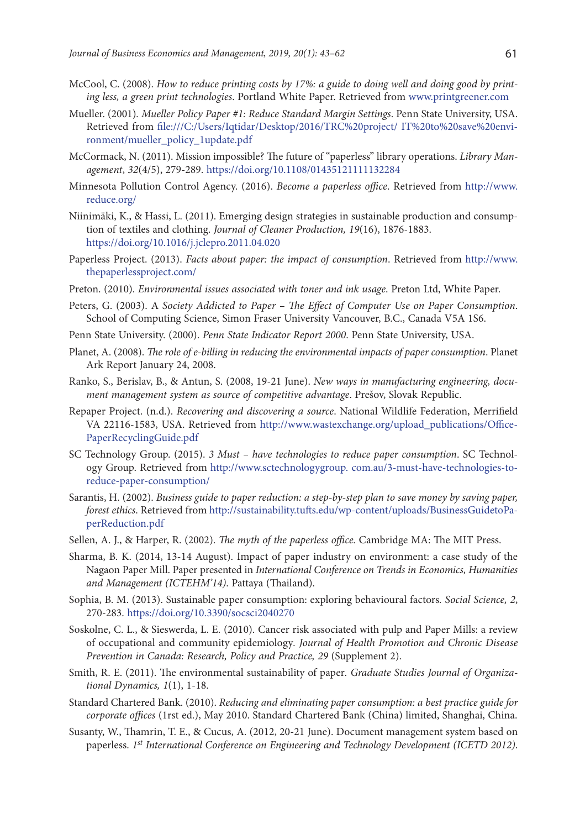- McCool, C. (2008). *How to reduce printing costs by 17%: a guide to doing well and doing good by printing less, a green print technologies*. Portland White Paper. Retrieved from www.printgreener.com
- Mueller. (2001)*. Mueller Policy Paper #1: Reduce Standard Margin Settings*. Penn State University, USA. Retrieved from file:///C:/Users/Iqtidar/Desktop/2016/TRC%20project/ IT%20to%20save%20environment/mueller\_policy\_1update.pdf
- McCormack, N. (2011). Mission impossible? The future of "paperless" library operations. *Library Management*, *32*(4/5), 279-289. https://doi.org/10.1108/01435121111132284
- Minnesota Pollution Control Agency. (2016). *Become a paperless office*. Retrieved from http://www. reduce.org/
- Niinimäki, K., & Hassi, L. (2011). Emerging design strategies in sustainable production and consumption of textiles and clothing. *Journal of Cleaner Production, 19*(16), 1876-1883. https://doi.org/10.1016/j.jclepro.2011.04.020
- Paperless Project. (2013). *Facts about paper: the impact of consumption*. Retrieved from http://www. thepaperlessproject.com/
- Preton. (2010). *Environmental issues associated with toner and ink usage*. Preton Ltd, White Paper.
- Peters, G. (2003). A *Society Addicted to Paper The Effect of Computer Use on Paper Consumption*. School of Computing Science, Simon Fraser University Vancouver, B.C., Canada V5A 1S6.
- Penn State University. (2000). *Penn State Indicator Report 2000*. Penn State University, USA.
- Planet, A. (2008). *The role of e-billing in reducing the environmental impacts of paper consumption*. Planet Ark Report January 24, 2008.
- Ranko, S., Berislav, B., & Antun, S. (2008, 19-21 June). *New ways in manufacturing engineering, document management system as source of competitive advantage*. Prešov, Slovak Republic.
- Repaper Project. (n.d.). *Recovering and discovering a source*. National Wildlife Federation, Merrifield VA 22116-1583, USA. Retrieved from http://www.wastexchange.org/upload\_publications/Office-PaperRecyclingGuide.pdf
- SC Technology Group. (2015). *3 Must have technologies to reduce paper consumption*. SC Technology Group. Retrieved from http://www.sctechnologygroup. com.au/3-must-have-technologies-toreduce-paper-consumption/
- Sarantis, H. (2002). *Business guide to paper reduction: a step-by-step plan to save money by saving paper, forest ethics*. Retrieved from http://sustainability.tufts.edu/wp-content/uploads/BusinessGuidetoPaperReduction.pdf
- Sellen, A. J., & Harper, R. (2002). *The myth of the paperless office.* Cambridge MA: The MIT Press.
- Sharma, B. K. (2014, 13-14 August). Impact of paper industry on environment: a case study of the Nagaon Paper Mill. Paper presented in *International Conference on Trends in Economics, Humanities and Management (ICTEHM'14)*. Pattaya (Thailand).
- Sophia, B. M. (2013). Sustainable paper consumption: exploring behavioural factors*. Social Science, 2*, 270-283. https://doi.org/10.3390/socsci2040270
- Soskolne, C. L., & Sieswerda, L. E. (2010). Cancer risk associated with pulp and Paper Mills: a review of occupational and community epidemiology*. Journal of Health Promotion and Chronic Disease Prevention in Canada: Research, Policy and Practice, 29* (Supplement 2).
- Smith, R. E. (2011). The environmental sustainability of paper*. Graduate Studies Journal of Organizational Dynamics, 1*(1), 1-18.
- Standard Chartered Bank. (2010). *Reducing and eliminating paper consumption: a best practice guide for corporate offices* (1rst ed.), May 2010. Standard Chartered Bank (China) limited, Shanghai, China.
- Susanty, W., Thamrin, T. E., & Cucus, A. (2012, 20-21 June). Document management system based on paperless. *1st International Conference on Engineering and Technology Development (ICETD 2012)*.